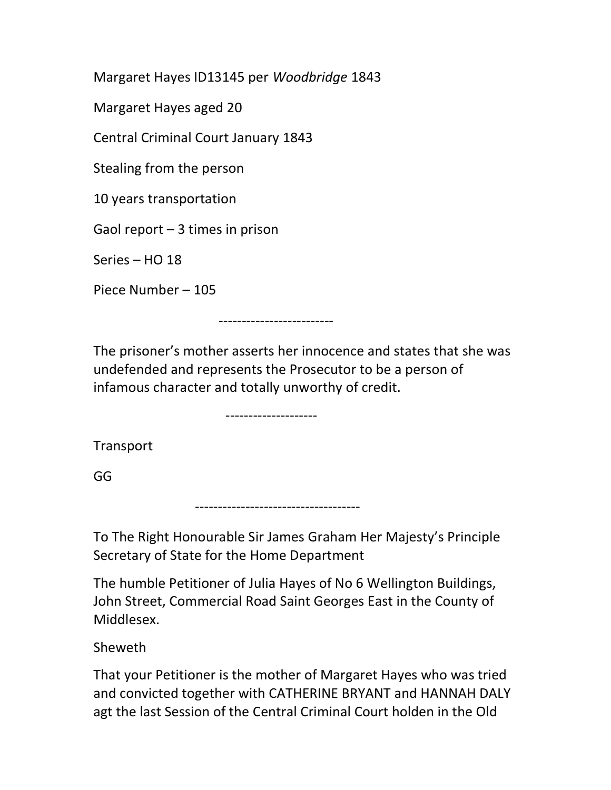Margaret Hayes ID13145 per Woodbridge 1843

Margaret Hayes aged 20

Central Criminal Court January 1843

Stealing from the person

10 years transportation

Gaol report  $-3$  times in prison

Series – HO 18

Piece Number – 105

-------------------------

The prisoner's mother asserts her innocence and states that she was undefended and represents the Prosecutor to be a person of infamous character and totally unworthy of credit.

--------------------

------------------------------------

Transport

GG

To The Right Honourable Sir James Graham Her Majesty's Principle Secretary of State for the Home Department

The humble Petitioner of Julia Hayes of No 6 Wellington Buildings, John Street, Commercial Road Saint Georges East in the County of Middlesex.

Sheweth

That your Petitioner is the mother of Margaret Hayes who was tried and convicted together with CATHERINE BRYANT and HANNAH DALY agt the last Session of the Central Criminal Court holden in the Old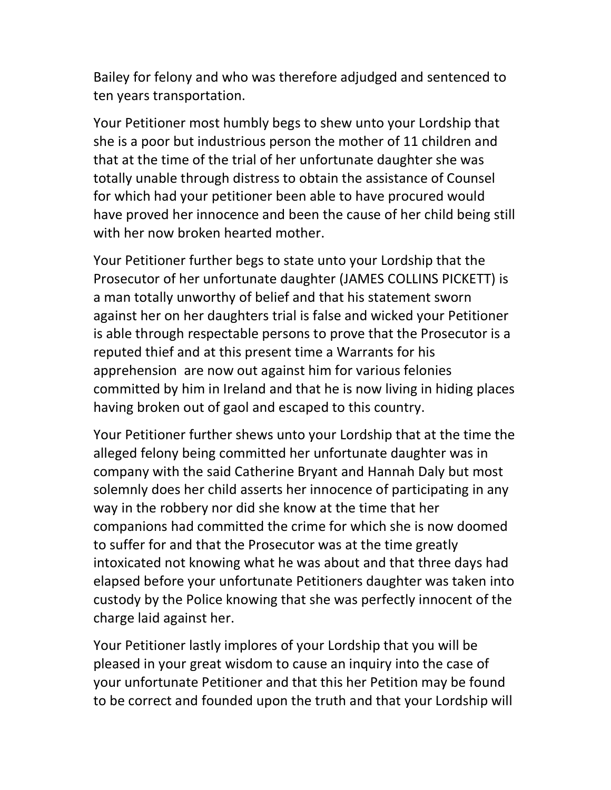Bailey for felony and who was therefore adjudged and sentenced to ten years transportation.

Your Petitioner most humbly begs to shew unto your Lordship that she is a poor but industrious person the mother of 11 children and that at the time of the trial of her unfortunate daughter she was totally unable through distress to obtain the assistance of Counsel for which had your petitioner been able to have procured would have proved her innocence and been the cause of her child being still with her now broken hearted mother.

Your Petitioner further begs to state unto your Lordship that the Prosecutor of her unfortunate daughter (JAMES COLLINS PICKETT) is a man totally unworthy of belief and that his statement sworn against her on her daughters trial is false and wicked your Petitioner is able through respectable persons to prove that the Prosecutor is a reputed thief and at this present time a Warrants for his apprehension are now out against him for various felonies committed by him in Ireland and that he is now living in hiding places having broken out of gaol and escaped to this country.

Your Petitioner further shews unto your Lordship that at the time the alleged felony being committed her unfortunate daughter was in company with the said Catherine Bryant and Hannah Daly but most solemnly does her child asserts her innocence of participating in any way in the robbery nor did she know at the time that her companions had committed the crime for which she is now doomed to suffer for and that the Prosecutor was at the time greatly intoxicated not knowing what he was about and that three days had elapsed before your unfortunate Petitioners daughter was taken into custody by the Police knowing that she was perfectly innocent of the charge laid against her.

Your Petitioner lastly implores of your Lordship that you will be pleased in your great wisdom to cause an inquiry into the case of your unfortunate Petitioner and that this her Petition may be found to be correct and founded upon the truth and that your Lordship will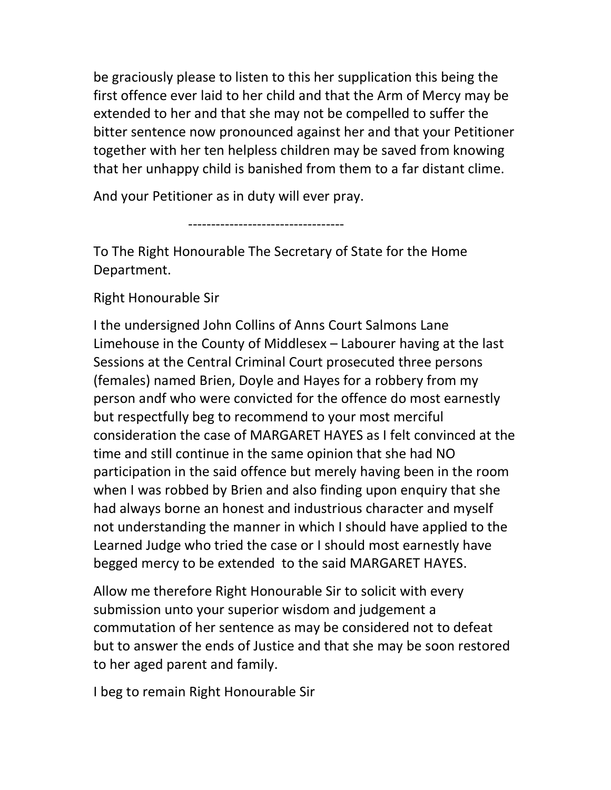be graciously please to listen to this her supplication this being the first offence ever laid to her child and that the Arm of Mercy may be extended to her and that she may not be compelled to suffer the bitter sentence now pronounced against her and that your Petitioner together with her ten helpless children may be saved from knowing that her unhappy child is banished from them to a far distant clime.

And your Petitioner as in duty will ever pray.

----------------------------------

To The Right Honourable The Secretary of State for the Home Department.

Right Honourable Sir

I the undersigned John Collins of Anns Court Salmons Lane Limehouse in the County of Middlesex – Labourer having at the last Sessions at the Central Criminal Court prosecuted three persons (females) named Brien, Doyle and Hayes for a robbery from my person andf who were convicted for the offence do most earnestly but respectfully beg to recommend to your most merciful consideration the case of MARGARET HAYES as I felt convinced at the time and still continue in the same opinion that she had NO participation in the said offence but merely having been in the room when I was robbed by Brien and also finding upon enquiry that she had always borne an honest and industrious character and myself not understanding the manner in which I should have applied to the Learned Judge who tried the case or I should most earnestly have begged mercy to be extended to the said MARGARET HAYES.

Allow me therefore Right Honourable Sir to solicit with every submission unto your superior wisdom and judgement a commutation of her sentence as may be considered not to defeat but to answer the ends of Justice and that she may be soon restored to her aged parent and family.

I beg to remain Right Honourable Sir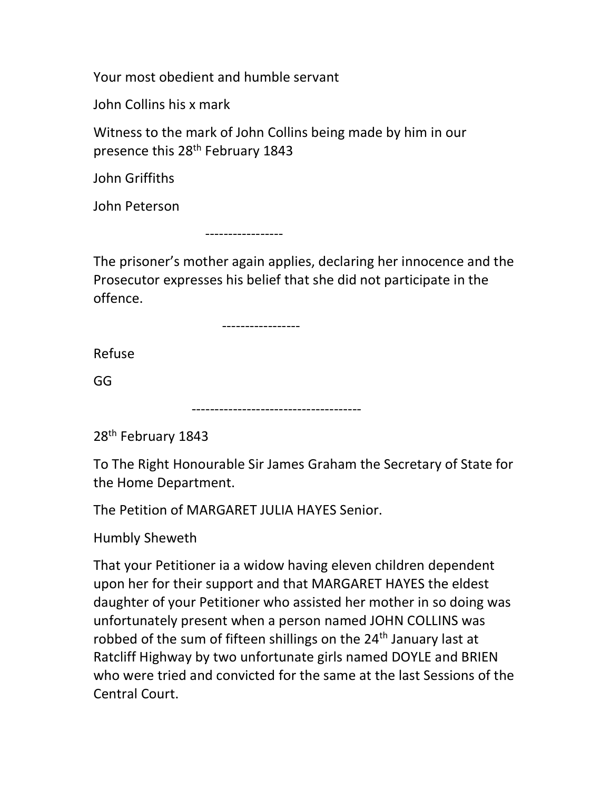Your most obedient and humble servant

John Collins his x mark

Witness to the mark of John Collins being made by him in our presence this 28<sup>th</sup> February 1843

John Griffiths

John Peterson

-----------------

The prisoner's mother again applies, declaring her innocence and the Prosecutor expresses his belief that she did not participate in the offence.

-----------------

Refuse

GG

-------------------------------------

28<sup>th</sup> February 1843

To The Right Honourable Sir James Graham the Secretary of State for the Home Department.

The Petition of MARGARET JULIA HAYES Senior.

Humbly Sheweth

That your Petitioner ia a widow having eleven children dependent upon her for their support and that MARGARET HAYES the eldest daughter of your Petitioner who assisted her mother in so doing was unfortunately present when a person named JOHN COLLINS was robbed of the sum of fifteen shillings on the 24<sup>th</sup> January last at Ratcliff Highway by two unfortunate girls named DOYLE and BRIEN who were tried and convicted for the same at the last Sessions of the Central Court.